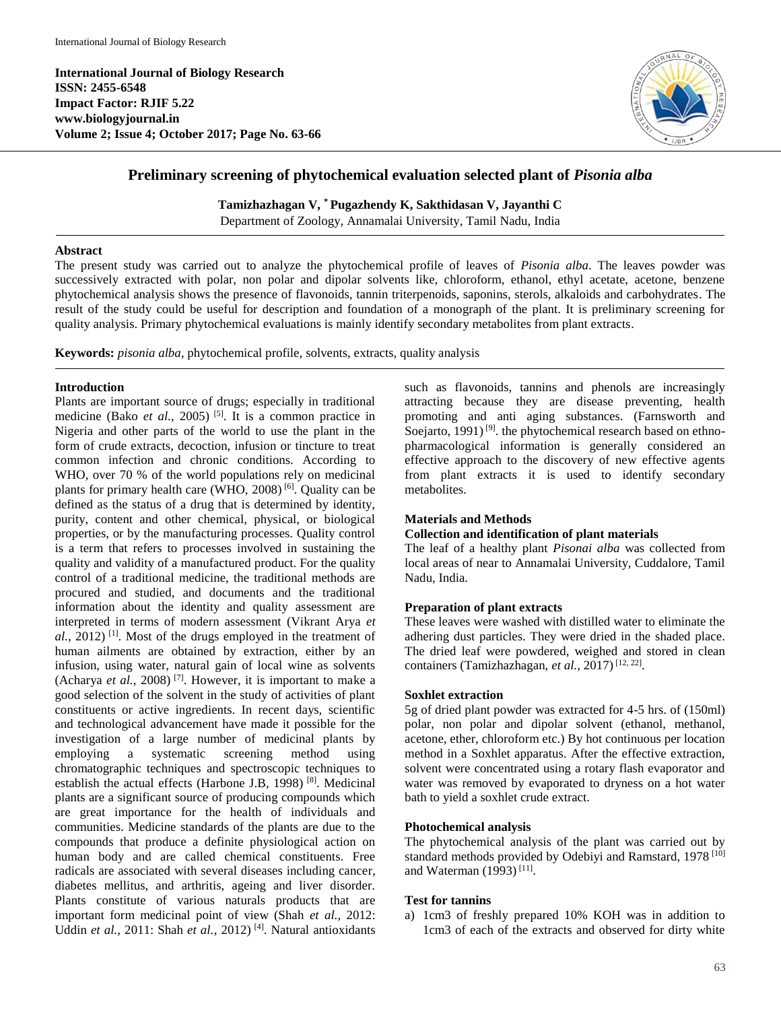**International Journal of Biology Research ISSN: 2455-6548 Impact Factor: RJIF 5.22 www.biologyjournal.in Volume 2; Issue 4; October 2017; Page No. 63-66**



# **Preliminary screening of phytochemical evaluation selected plant of** *Pisonia alba*

**Tamizhazhagan V, \* Pugazhendy K, Sakthidasan V, Jayanthi C**

Department of Zoology, Annamalai University, Tamil Nadu, India

#### **Abstract**

The present study was carried out to analyze the phytochemical profile of leaves of *Pisonia alba*. The leaves powder was successively extracted with polar, non polar and dipolar solvents like, chloroform, ethanol, ethyl acetate, acetone, benzene phytochemical analysis shows the presence of flavonoids, tannin triterpenoids, saponins, sterols, alkaloids and carbohydrates. The result of the study could be useful for description and foundation of a monograph of the plant. It is preliminary screening for quality analysis. Primary phytochemical evaluations is mainly identify secondary metabolites from plant extracts.

**Keywords:** *pisonia alba*, phytochemical profile, solvents, extracts, quality analysis

#### **Introduction**

Plants are important source of drugs; especially in traditional medicine (Bako *et al.*, 2005)<sup>[5]</sup>. It is a common practice in Nigeria and other parts of the world to use the plant in the form of crude extracts, decoction, infusion or tincture to treat common infection and chronic conditions. According to WHO, over 70 % of the world populations rely on medicinal plants for primary health care (WHO, 2008)<sup>[6]</sup>. Quality can be defined as the status of a drug that is determined by identity, purity, content and other chemical, physical, or biological properties, or by the manufacturing processes. Quality control is a term that refers to processes involved in sustaining the quality and validity of a manufactured product. For the quality control of a traditional medicine, the traditional methods are procured and studied, and documents and the traditional information about the identity and quality assessment are interpreted in terms of modern assessment (Vikrant Arya *et*  al., 2012)<sup>[1]</sup>. Most of the drugs employed in the treatment of human ailments are obtained by extraction, either by an infusion, using water, natural gain of local wine as solvents (Acharya *et al.*, 2008)<sup>[7]</sup>. However, it is important to make a good selection of the solvent in the study of activities of plant constituents or active ingredients. In recent days, scientific and technological advancement have made it possible for the investigation of a large number of medicinal plants by employing a systematic screening method using chromatographic techniques and spectroscopic techniques to establish the actual effects (Harbone J.B, 1998)<sup>[8]</sup>. Medicinal plants are a significant source of producing compounds which are great importance for the health of individuals and communities. Medicine standards of the plants are due to the compounds that produce a definite physiological action on human body and are called chemical constituents. Free radicals are associated with several diseases including cancer, diabetes mellitus, and arthritis, ageing and liver disorder. Plants constitute of various naturals products that are important form medicinal point of view (Shah *et al.*, 2012: Uddin et al., 2011: Shah et al., 2012)<sup>[4]</sup>. Natural antioxidants

such as flavonoids, tannins and phenols are increasingly attracting because they are disease preventing, health promoting and anti aging substances. (Farnsworth and Soejarto, 1991)<sup>[9]</sup>. the phytochemical research based on ethnopharmacological information is generally considered an effective approach to the discovery of new effective agents from plant extracts it is used to identify secondary metabolites.

#### **Materials and Methods**

#### **Collection and identification of plant materials**

The leaf of a healthy plant *Pisonai alba* was collected from local areas of near to Annamalai University, Cuddalore, Tamil Nadu, India.

#### **Preparation of plant extracts**

These leaves were washed with distilled water to eliminate the adhering dust particles. They were dried in the shaded place. The dried leaf were powdered, weighed and stored in clean containers (Tamizhazhagan, et al., 2017)<sup>[12, 22]</sup>.

#### **Soxhlet extraction**

5g of dried plant powder was extracted for 4-5 hrs. of (150ml) polar, non polar and dipolar solvent (ethanol, methanol, acetone, ether, chloroform etc.) By hot continuous per location method in a Soxhlet apparatus. After the effective extraction, solvent were concentrated using a rotary flash evaporator and water was removed by evaporated to dryness on a hot water bath to yield a soxhlet crude extract.

#### **Photochemical analysis**

The phytochemical analysis of the plant was carried out by standard methods provided by Odebiyi and Ramstard, 1978<sup>[10]</sup> and Waterman (1993)<sup>[11]</sup>.

#### **Test for tannins**

a) 1cm3 of freshly prepared 10% KOH was in addition to 1cm3 of each of the extracts and observed for dirty white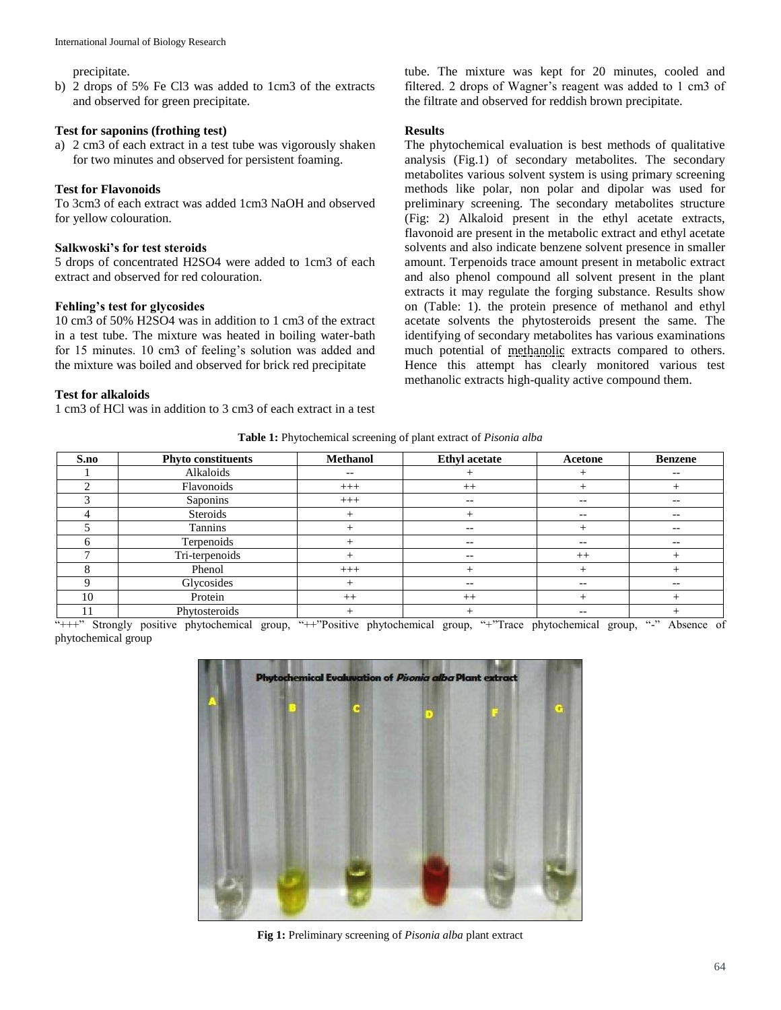precipitate.

b) 2 drops of 5% Fe Cl3 was added to 1cm3 of the extracts and observed for green precipitate.

#### **Test for saponins (frothing test)**

a) 2 cm3 of each extract in a test tube was vigorously shaken for two minutes and observed for persistent foaming.

## **Test for Flavonoids**

To 3cm3 of each extract was added 1cm3 NaOH and observed for yellow colouration.

## **Salkwoski's for test steroids**

5 drops of concentrated H2SO4 were added to 1cm3 of each extract and observed for red colouration.

## **Fehling's test for glycosides**

10 cm3 of 50% H2SO4 was in addition to 1 cm3 of the extract in a test tube. The mixture was heated in boiling water-bath for 15 minutes. 10 cm3 of feeling's solution was added and the mixture was boiled and observed for brick red precipitate

## **Test for alkaloids**

1 cm3 of HCl was in addition to 3 cm3 of each extract in a test

tube. The mixture was kept for 20 minutes, cooled and filtered. 2 drops of Wagner's reagent was added to 1 cm3 of the filtrate and observed for reddish brown precipitate.

## **Results**

The phytochemical evaluation is best methods of qualitative analysis (Fig.1) of secondary metabolites. The secondary metabolites various solvent system is using primary screening methods like polar, non polar and dipolar was used for preliminary screening. The secondary metabolites structure (Fig: 2) Alkaloid present in the ethyl acetate extracts, flavonoid are present in the metabolic extract and ethyl acetate solvents and also indicate benzene solvent presence in smaller amount. Terpenoids trace amount present in metabolic extract and also phenol compound all solvent present in the plant extracts it may regulate the forging substance. Results show on (Table: 1). the protein presence of methanol and ethyl acetate solvents the phytosteroids present the same. The identifying of secondary metabolites has various examinations much potential of methanolic extracts compared to others. Hence this attempt has clearly monitored various test methanolic extracts high-quality active compound them.

**Table 1:** Phytochemical screening of plant extract of *Pisonia alba*

| S.no | <b>Phyto constituents</b> | <b>Methanol</b> | <b>Ethyl</b> acetate     | Acetone                  | <b>Benzene</b>           |
|------|---------------------------|-----------------|--------------------------|--------------------------|--------------------------|
|      | Alkaloids                 | $-$             |                          |                          | $\overline{\phantom{m}}$ |
|      | Flavonoids                | $+++$           | $++$                     |                          |                          |
|      | Saponins                  | $+++$           | $-\,-$                   | $- -$                    | --                       |
|      | Steroids                  |                 |                          | $- -$                    | $- -$                    |
|      | Tannins                   |                 | $- -$                    |                          | --                       |
|      | Terpenoids                |                 | $\overline{\phantom{m}}$ | $- -$                    | --                       |
|      | Tri-terpenoids            |                 | $\overline{\phantom{m}}$ | $^{++}$                  |                          |
|      | Phenol                    | $+++$           |                          |                          |                          |
|      | Glycosides                |                 | $-\,-$                   | $\overline{\phantom{m}}$ | --                       |
| 10   | Protein                   | $++$            | $++$                     |                          |                          |
|      | Phytosteroids             |                 |                          | $\overline{\phantom{m}}$ |                          |

"+++" Strongly positive phytochemical group, "++"Positive phytochemical group, "+"Trace phytochemical group, "-" Absence of phytochemical group



**Fig 1:** Preliminary screening of *Pisonia alba* plant extract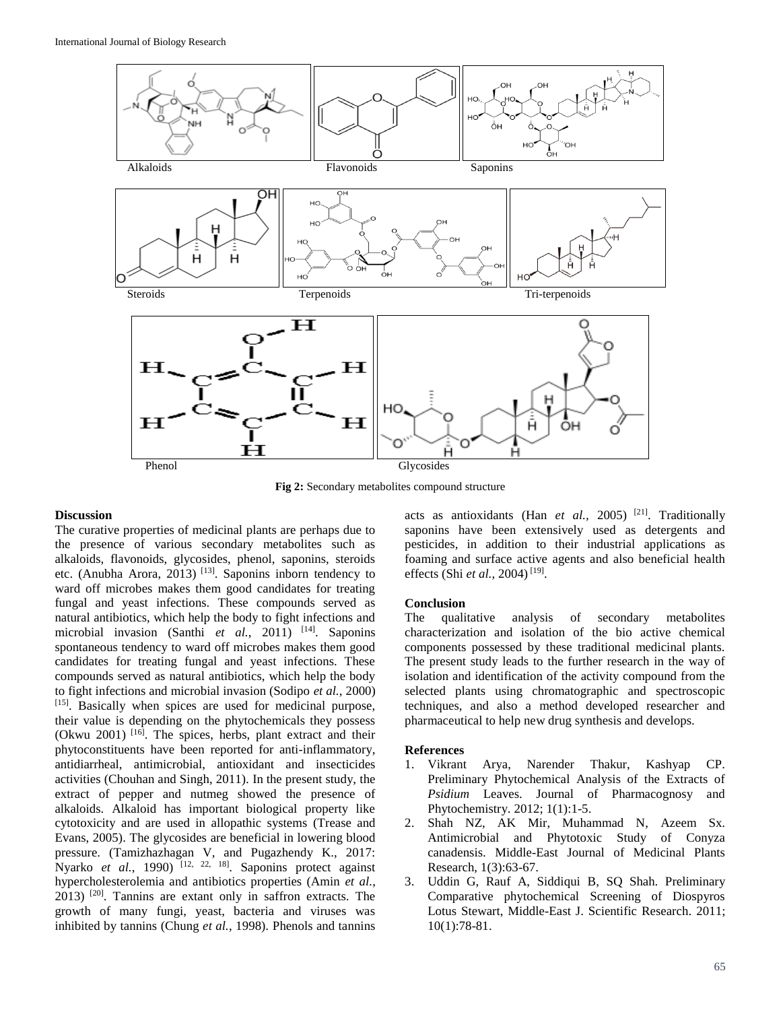

**Fig 2:** Secondary metabolites compound structure

#### **Discussion**

The curative properties of medicinal plants are perhaps due to the presence of various secondary metabolites such as alkaloids, flavonoids, glycosides, phenol, saponins, steroids etc. (Anubha Arora, 2013)<sup>[13]</sup>. Saponins inborn tendency to ward off microbes makes them good candidates for treating fungal and yeast infections. These compounds served as natural antibiotics, which help the body to fight infections and microbial invasion (Santhi et al., 2011)<sup>[14]</sup>. Saponins spontaneous tendency to ward off microbes makes them good candidates for treating fungal and yeast infections. These compounds served as natural antibiotics, which help the body to fight infections and microbial invasion (Sodipo *et al.*, 2000) [15]. Basically when spices are used for medicinal purpose, their value is depending on the phytochemicals they possess (Okwu 2001) <sup>[16]</sup>. The spices, herbs, plant extract and their phytoconstituents have been reported for anti-inflammatory, antidiarrheal, antimicrobial, antioxidant and insecticides activities (Chouhan and Singh, 2011). In the present study, the extract of pepper and nutmeg showed the presence of alkaloids. Alkaloid has important biological property like cytotoxicity and are used in allopathic systems (Trease and Evans, 2005). The glycosides are beneficial in lowering blood pressure. (Tamizhazhagan V, and Pugazhendy K., 2017: Nyarko *et al.*, 1990) <sup>[12, 22, <sup>18]</sup>. Saponins protect against</sup> hypercholesterolemia and antibiotics properties (Amin *et al.*, 2013) [20] . Tannins are extant only in saffron extracts. The growth of many fungi, yeast, bacteria and viruses was inhibited by tannins (Chung *et al.*, 1998). Phenols and tannins

acts as antioxidants (Han *et al.,* 2005) [21] . Traditionally saponins have been extensively used as detergents and pesticides, in addition to their industrial applications as foaming and surface active agents and also beneficial health effects (Shi *et al.*, 2004)<sup>[19]</sup>.

## **Conclusion**

The qualitative analysis of secondary metabolites characterization and isolation of the bio active chemical components possessed by these traditional medicinal plants. The present study leads to the further research in the way of isolation and identification of the activity compound from the selected plants using chromatographic and spectroscopic techniques, and also a method developed researcher and pharmaceutical to help new drug synthesis and develops.

#### **References**

- 1. Vikrant Arya, Narender Thakur, Kashyap CP. Preliminary Phytochemical Analysis of the Extracts of *Psidium* Leaves. Journal of Pharmacognosy and Phytochemistry. 2012; 1(1):1-5.
- 2. Shah NZ, AK Mir, Muhammad N, Azeem Sx. Antimicrobial and Phytotoxic Study of Conyza canadensis. Middle-East Journal of Medicinal Plants Research, 1(3):63-67.
- 3. Uddin G, Rauf A, Siddiqui B, SQ Shah. Preliminary Comparative phytochemical Screening of Diospyros Lotus Stewart, Middle-East J. Scientific Research. 2011; 10(1):78-81.